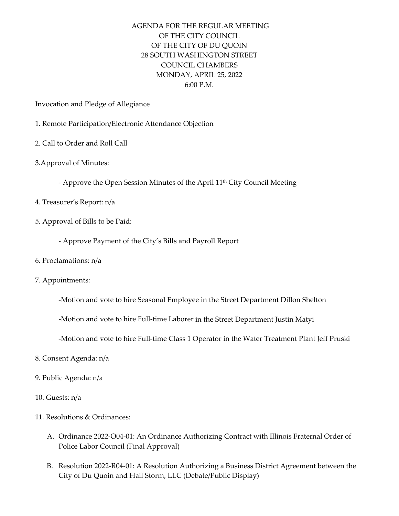## AGENDA FOR THE REGULAR MEETING OF THE CITY COUNCIL OF THE CITY OF DU QUOIN 28 SOUTH WASHINGTON STREET COUNCIL CHAMBERS MONDAY, APRIL 25, 2022 6:00 P.M.

Invocation and Pledge of Allegiance

- 1. Remote Participation/Electronic Attendance Objection
- 2. Call to Order and Roll Call
- 3.Approval of Minutes:
	- Approve the Open Session Minutes of the April 11<sup>th</sup> City Council Meeting
- 4. Treasurer's Report: n/a
- 5. Approval of Bills to be Paid:
	- ‐ Approve Payment of the City's Bills and Payroll Report
- 6. Proclamations: n/a
- 7. Appointments:
	- ‐Motion and vote to hire Seasonal Employee in the Street Department Dillon Shelton
	- ‐Motion and vote to hire Full‐time Laborer in the Street Department Justin Matyi
	- ‐Motion and vote to hire Full‐time Class 1 Operator in the Water Treatment Plant Jeff Pruski
- 8. Consent Agenda: n/a
- 9. Public Agenda: n/a
- 10. Guests: n/a
- 11. Resolutions & Ordinances:
	- A. Ordinance 2022‐O04‐01: An Ordinance Authorizing Contract with Illinois Fraternal Order of Police Labor Council (Final Approval)
	- B. Resolution 2022‐R04‐01: A Resolution Authorizing a Business District Agreement between the City of Du Quoin and Hail Storm, LLC (Debate/Public Display)